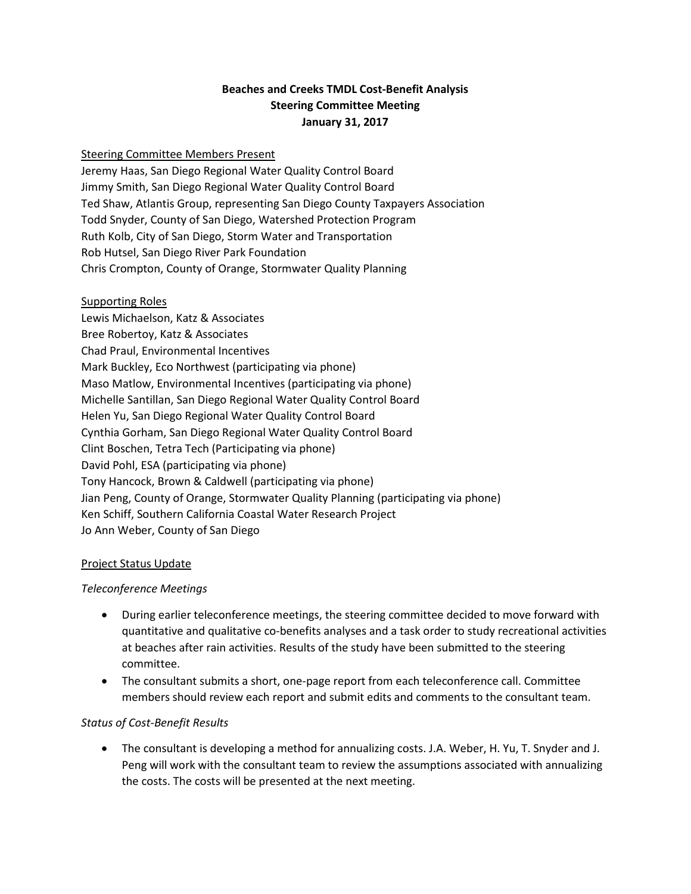# **Beaches and Creeks TMDL Cost-Benefit Analysis Steering Committee Meeting January 31, 2017**

### Steering Committee Members Present

Jeremy Haas, San Diego Regional Water Quality Control Board Jimmy Smith, San Diego Regional Water Quality Control Board Ted Shaw, Atlantis Group, representing San Diego County Taxpayers Association Todd Snyder, County of San Diego, Watershed Protection Program Ruth Kolb, City of San Diego, Storm Water and Transportation Rob Hutsel, San Diego River Park Foundation Chris Crompton, County of Orange, Stormwater Quality Planning

#### Supporting Roles

Lewis Michaelson, Katz & Associates Bree Robertoy, Katz & Associates Chad Praul, Environmental Incentives Mark Buckley, Eco Northwest (participating via phone) Maso Matlow, Environmental Incentives (participating via phone) Michelle Santillan, San Diego Regional Water Quality Control Board Helen Yu, San Diego Regional Water Quality Control Board Cynthia Gorham, San Diego Regional Water Quality Control Board Clint Boschen, Tetra Tech (Participating via phone) David Pohl, ESA (participating via phone) Tony Hancock, Brown & Caldwell (participating via phone) Jian Peng, County of Orange, Stormwater Quality Planning (participating via phone) Ken Schiff, Southern California Coastal Water Research Project Jo Ann Weber, County of San Diego

#### Project Status Update

#### *Teleconference Meetings*

- During earlier teleconference meetings, the steering committee decided to move forward with quantitative and qualitative co-benefits analyses and a task order to study recreational activities at beaches after rain activities. Results of the study have been submitted to the steering committee.
- The consultant submits a short, one-page report from each teleconference call. Committee members should review each report and submit edits and comments to the consultant team.

#### *Status of Cost-Benefit Results*

• The consultant is developing a method for annualizing costs. J.A. Weber, H. Yu, T. Snyder and J. Peng will work with the consultant team to review the assumptions associated with annualizing the costs. The costs will be presented at the next meeting.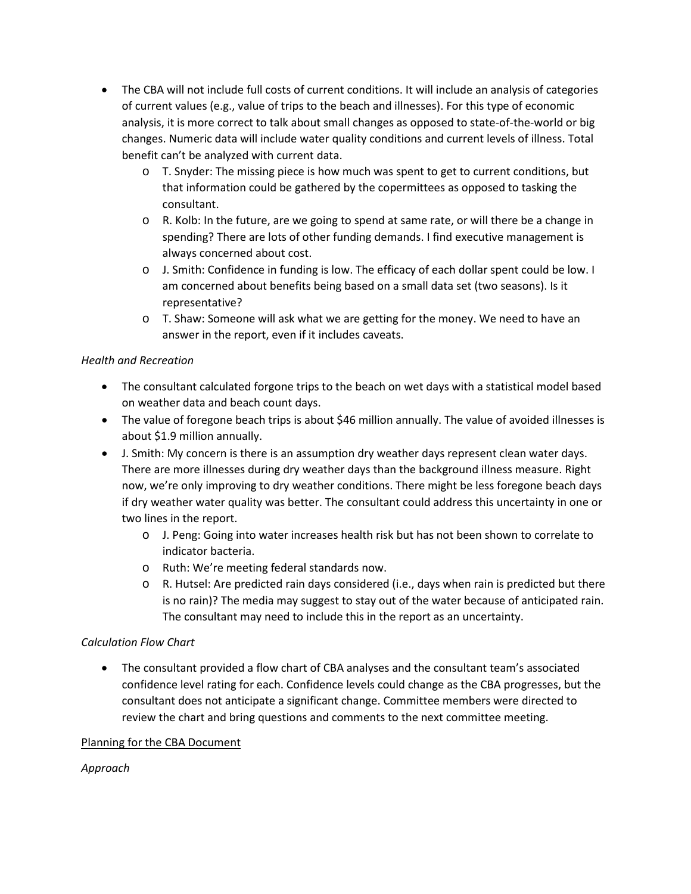- The CBA will not include full costs of current conditions. It will include an analysis of categories of current values (e.g., value of trips to the beach and illnesses). For this type of economic analysis, it is more correct to talk about small changes as opposed to state-of-the-world or big changes. Numeric data will include water quality conditions and current levels of illness. Total benefit can't be analyzed with current data.
	- o T. Snyder: The missing piece is how much was spent to get to current conditions, but that information could be gathered by the copermittees as opposed to tasking the consultant.
	- o R. Kolb: In the future, are we going to spend at same rate, or will there be a change in spending? There are lots of other funding demands. I find executive management is always concerned about cost.
	- o J. Smith: Confidence in funding is low. The efficacy of each dollar spent could be low. I am concerned about benefits being based on a small data set (two seasons). Is it representative?
	- o T. Shaw: Someone will ask what we are getting for the money. We need to have an answer in the report, even if it includes caveats.

## *Health and Recreation*

- The consultant calculated forgone trips to the beach on wet days with a statistical model based on weather data and beach count days.
- The value of foregone beach trips is about \$46 million annually. The value of avoided illnesses is about \$1.9 million annually.
- J. Smith: My concern is there is an assumption dry weather days represent clean water days. There are more illnesses during dry weather days than the background illness measure. Right now, we're only improving to dry weather conditions. There might be less foregone beach days if dry weather water quality was better. The consultant could address this uncertainty in one or two lines in the report.
	- o J. Peng: Going into water increases health risk but has not been shown to correlate to indicator bacteria.
	- o Ruth: We're meeting federal standards now.
	- $\circ$  R. Hutsel: Are predicted rain days considered (i.e., days when rain is predicted but there is no rain)? The media may suggest to stay out of the water because of anticipated rain. The consultant may need to include this in the report as an uncertainty.

## *Calculation Flow Chart*

• The consultant provided a flow chart of CBA analyses and the consultant team's associated confidence level rating for each. Confidence levels could change as the CBA progresses, but the consultant does not anticipate a significant change. Committee members were directed to review the chart and bring questions and comments to the next committee meeting.

## Planning for the CBA Document

## *Approach*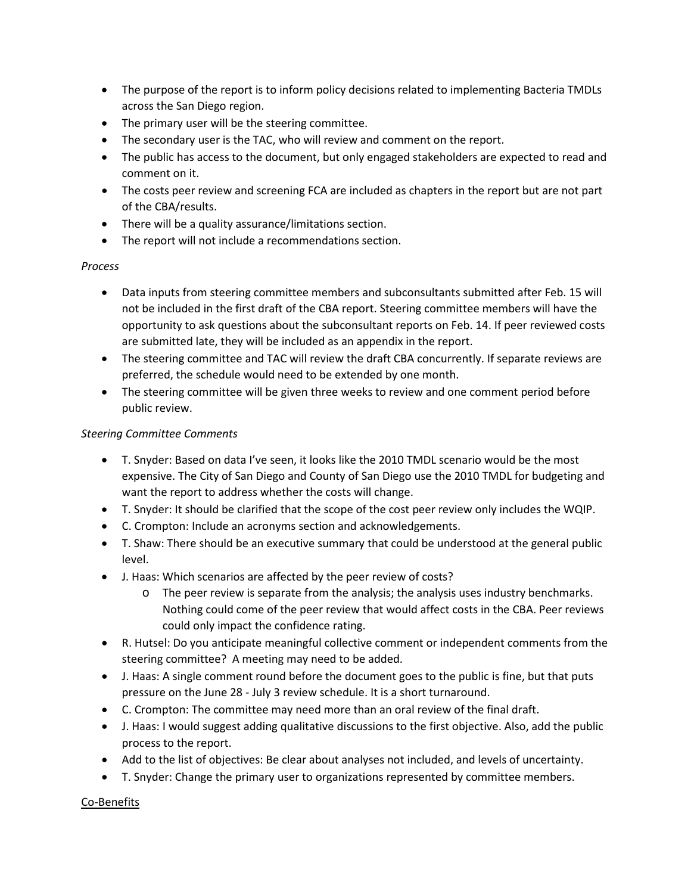- The purpose of the report is to inform policy decisions related to implementing Bacteria TMDLs across the San Diego region.
- The primary user will be the steering committee.
- The secondary user is the TAC, who will review and comment on the report.
- The public has access to the document, but only engaged stakeholders are expected to read and comment on it.
- The costs peer review and screening FCA are included as chapters in the report but are not part of the CBA/results.
- There will be a quality assurance/limitations section.
- The report will not include a recommendations section.

### *Process*

- Data inputs from steering committee members and subconsultants submitted after Feb. 15 will not be included in the first draft of the CBA report. Steering committee members will have the opportunity to ask questions about the subconsultant reports on Feb. 14. If peer reviewed costs are submitted late, they will be included as an appendix in the report.
- The steering committee and TAC will review the draft CBA concurrently. If separate reviews are preferred, the schedule would need to be extended by one month.
- The steering committee will be given three weeks to review and one comment period before public review.

## *Steering Committee Comments*

- T. Snyder: Based on data I've seen, it looks like the 2010 TMDL scenario would be the most expensive. The City of San Diego and County of San Diego use the 2010 TMDL for budgeting and want the report to address whether the costs will change.
- T. Snyder: It should be clarified that the scope of the cost peer review only includes the WQIP.
- C. Crompton: Include an acronyms section and acknowledgements.
- T. Shaw: There should be an executive summary that could be understood at the general public level.
- J. Haas: Which scenarios are affected by the peer review of costs?
	- o The peer review is separate from the analysis; the analysis uses industry benchmarks. Nothing could come of the peer review that would affect costs in the CBA. Peer reviews could only impact the confidence rating.
- R. Hutsel: Do you anticipate meaningful collective comment or independent comments from the steering committee? A meeting may need to be added.
- J. Haas: A single comment round before the document goes to the public is fine, but that puts pressure on the June 28 - July 3 review schedule. It is a short turnaround.
- C. Crompton: The committee may need more than an oral review of the final draft.
- J. Haas: I would suggest adding qualitative discussions to the first objective. Also, add the public process to the report.
- Add to the list of objectives: Be clear about analyses not included, and levels of uncertainty.
- T. Snyder: Change the primary user to organizations represented by committee members.

Co-Benefits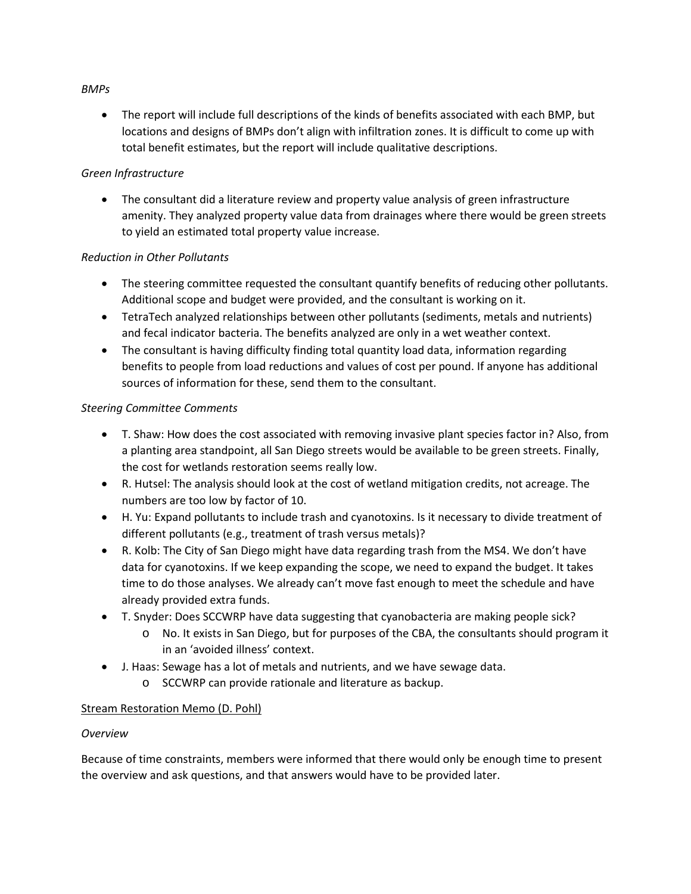### *BMPs*

• The report will include full descriptions of the kinds of benefits associated with each BMP, but locations and designs of BMPs don't align with infiltration zones. It is difficult to come up with total benefit estimates, but the report will include qualitative descriptions.

### *Green Infrastructure*

• The consultant did a literature review and property value analysis of green infrastructure amenity. They analyzed property value data from drainages where there would be green streets to yield an estimated total property value increase.

### *Reduction in Other Pollutants*

- The steering committee requested the consultant quantify benefits of reducing other pollutants. Additional scope and budget were provided, and the consultant is working on it.
- TetraTech analyzed relationships between other pollutants (sediments, metals and nutrients) and fecal indicator bacteria. The benefits analyzed are only in a wet weather context.
- The consultant is having difficulty finding total quantity load data, information regarding benefits to people from load reductions and values of cost per pound. If anyone has additional sources of information for these, send them to the consultant.

### *Steering Committee Comments*

- T. Shaw: How does the cost associated with removing invasive plant species factor in? Also, from a planting area standpoint, all San Diego streets would be available to be green streets. Finally, the cost for wetlands restoration seems really low.
- R. Hutsel: The analysis should look at the cost of wetland mitigation credits, not acreage. The numbers are too low by factor of 10.
- H. Yu: Expand pollutants to include trash and cyanotoxins. Is it necessary to divide treatment of different pollutants (e.g., treatment of trash versus metals)?
- R. Kolb: The City of San Diego might have data regarding trash from the MS4. We don't have data for cyanotoxins. If we keep expanding the scope, we need to expand the budget. It takes time to do those analyses. We already can't move fast enough to meet the schedule and have already provided extra funds.
- T. Snyder: Does SCCWRP have data suggesting that cyanobacteria are making people sick?
	- o No. It exists in San Diego, but for purposes of the CBA, the consultants should program it in an 'avoided illness' context.
- J. Haas: Sewage has a lot of metals and nutrients, and we have sewage data.
	- o SCCWRP can provide rationale and literature as backup.

## Stream Restoration Memo (D. Pohl)

#### *Overview*

Because of time constraints, members were informed that there would only be enough time to present the overview and ask questions, and that answers would have to be provided later.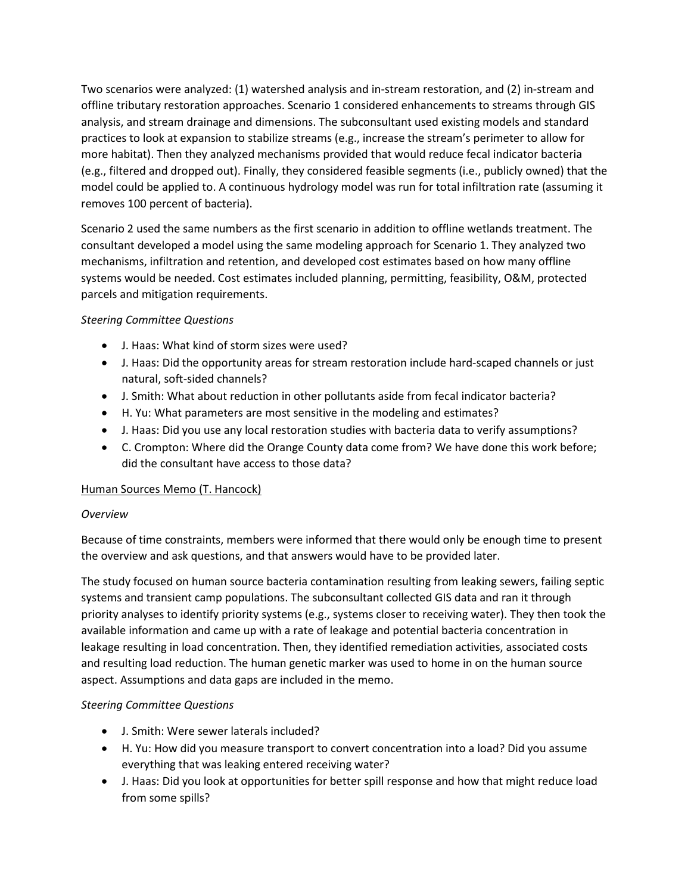Two scenarios were analyzed: (1) watershed analysis and in-stream restoration, and (2) in-stream and offline tributary restoration approaches. Scenario 1 considered enhancements to streams through GIS analysis, and stream drainage and dimensions. The subconsultant used existing models and standard practices to look at expansion to stabilize streams (e.g., increase the stream's perimeter to allow for more habitat). Then they analyzed mechanisms provided that would reduce fecal indicator bacteria (e.g., filtered and dropped out). Finally, they considered feasible segments (i.e., publicly owned) that the model could be applied to. A continuous hydrology model was run for total infiltration rate (assuming it removes 100 percent of bacteria).

Scenario 2 used the same numbers as the first scenario in addition to offline wetlands treatment. The consultant developed a model using the same modeling approach for Scenario 1. They analyzed two mechanisms, infiltration and retention, and developed cost estimates based on how many offline systems would be needed. Cost estimates included planning, permitting, feasibility, O&M, protected parcels and mitigation requirements.

## *Steering Committee Questions*

- J. Haas: What kind of storm sizes were used?
- J. Haas: Did the opportunity areas for stream restoration include hard-scaped channels or just natural, soft-sided channels?
- J. Smith: What about reduction in other pollutants aside from fecal indicator bacteria?
- H. Yu: What parameters are most sensitive in the modeling and estimates?
- J. Haas: Did you use any local restoration studies with bacteria data to verify assumptions?
- C. Crompton: Where did the Orange County data come from? We have done this work before; did the consultant have access to those data?

## Human Sources Memo (T. Hancock)

## *Overview*

Because of time constraints, members were informed that there would only be enough time to present the overview and ask questions, and that answers would have to be provided later.

The study focused on human source bacteria contamination resulting from leaking sewers, failing septic systems and transient camp populations. The subconsultant collected GIS data and ran it through priority analyses to identify priority systems (e.g., systems closer to receiving water). They then took the available information and came up with a rate of leakage and potential bacteria concentration in leakage resulting in load concentration. Then, they identified remediation activities, associated costs and resulting load reduction. The human genetic marker was used to home in on the human source aspect. Assumptions and data gaps are included in the memo.

## *Steering Committee Questions*

- J. Smith: Were sewer laterals included?
- H. Yu: How did you measure transport to convert concentration into a load? Did you assume everything that was leaking entered receiving water?
- J. Haas: Did you look at opportunities for better spill response and how that might reduce load from some spills?